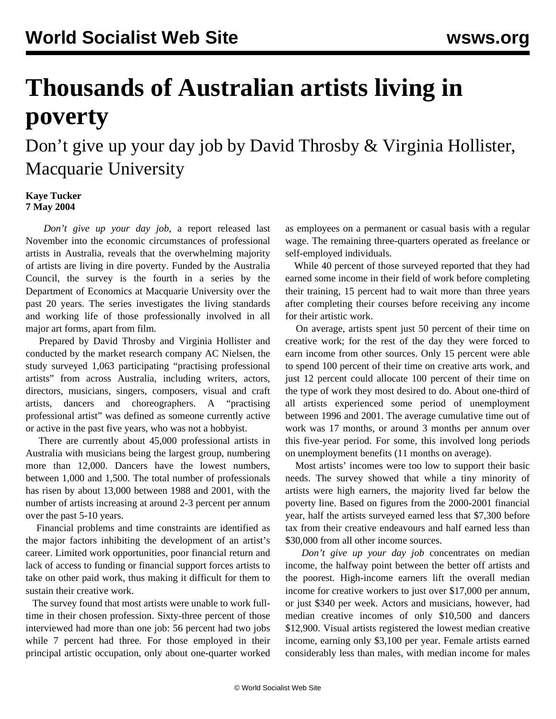## **Thousands of Australian artists living in poverty**

Don't give up your day job by David Throsby & Virginia Hollister, Macquarie University

## **Kaye Tucker 7 May 2004**

 *Don't give up your day job*, a report released last November into the economic circumstances of professional artists in Australia, reveals that the overwhelming majority of artists are living in dire poverty. Funded by the Australia Council, the survey is the fourth in a series by the Department of Economics at Macquarie University over the past 20 years. The series investigates the living standards and working life of those professionally involved in all major art forms, apart from film.

 Prepared by David Throsby and Virginia Hollister and conducted by the market research company AC Nielsen, the study surveyed 1,063 participating "practising professional artists" from across Australia, including writers, actors, directors, musicians, singers, composers, visual and craft artists, dancers and choreographers. A "practising professional artist" was defined as someone currently active or active in the past five years, who was not a hobbyist.

 There are currently about 45,000 professional artists in Australia with musicians being the largest group, numbering more than 12,000. Dancers have the lowest numbers, between 1,000 and 1,500. The total number of professionals has risen by about 13,000 between 1988 and 2001, with the number of artists increasing at around 2-3 percent per annum over the past 5-10 years.

 Financial problems and time constraints are identified as the major factors inhibiting the development of an artist's career. Limited work opportunities, poor financial return and lack of access to funding or financial support forces artists to take on other paid work, thus making it difficult for them to sustain their creative work.

 The survey found that most artists were unable to work fulltime in their chosen profession. Sixty-three percent of those interviewed had more than one job: 56 percent had two jobs while 7 percent had three. For those employed in their principal artistic occupation, only about one-quarter worked as employees on a permanent or casual basis with a regular wage. The remaining three-quarters operated as freelance or self-employed individuals.

 While 40 percent of those surveyed reported that they had earned some income in their field of work before completing their training, 15 percent had to wait more than three years after completing their courses before receiving any income for their artistic work.

 On average, artists spent just 50 percent of their time on creative work; for the rest of the day they were forced to earn income from other sources. Only 15 percent were able to spend 100 percent of their time on creative arts work, and just 12 percent could allocate 100 percent of their time on the type of work they most desired to do. About one-third of all artists experienced some period of unemployment between 1996 and 2001. The average cumulative time out of work was 17 months, or around 3 months per annum over this five-year period. For some, this involved long periods on unemployment benefits (11 months on average).

 Most artists' incomes were too low to support their basic needs. The survey showed that while a tiny minority of artists were high earners, the majority lived far below the poverty line. Based on figures from the 2000-2001 financial year, half the artists surveyed earned less that \$7,300 before tax from their creative endeavours and half earned less than \$30,000 from all other income sources.

 *Don't give up your day job* concentrates on median income, the halfway point between the better off artists and the poorest. High-income earners lift the overall median income for creative workers to just over \$17,000 per annum, or just \$340 per week. Actors and musicians, however, had median creative incomes of only \$10,500 and dancers \$12,900. Visual artists registered the lowest median creative income, earning only \$3,100 per year. Female artists earned considerably less than males, with median income for males